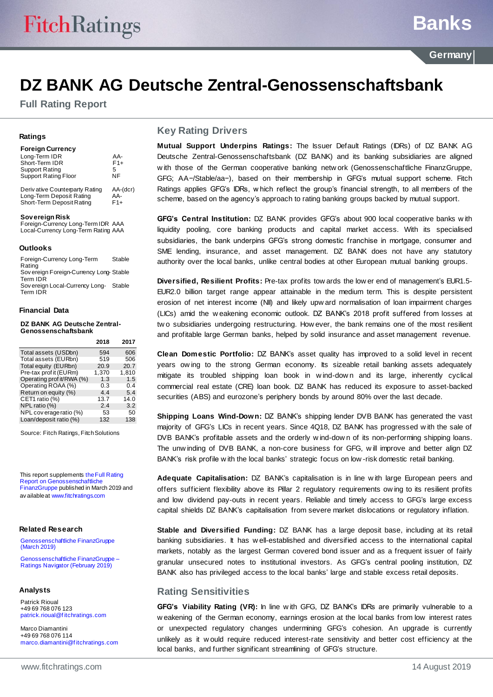## **Banks**

### **DZ BANK AG Deutsche Zentral-Genossenschaftsbank**

**Full Rating Report**

#### **Ratings**

| <b>Foreign Currency</b>        |                                 |
|--------------------------------|---------------------------------|
| Long-Term IDR                  | AA-                             |
| Short-Term IDR                 | $F1+$                           |
| <b>Support Rating</b>          | 5                               |
| <b>Support Rating Floor</b>    | ΝF                              |
| Dorivative Countement : Doting | $\Lambda$ $\Lambda$ $($ dor $)$ |

Deriv ative Counterparty Rating AA-(dcr) Long-Term Deposit Rating AA-Short-Term Deposit Rating F1+

#### **Sov ereign Risk**

Foreign-Currency Long-Term IDR AAA Local-Currency Long-Term Rating AAA

#### **Outlooks**

Foreign-Currency Long-Term Rating Stable Sov ereign Foreign-Currency Long-Stable Term IDR Sov ereign Local-Currency Long-Stable Term IDR

#### **Financial Data**

**DZ BANK AG Deutsche Zentral-Genossenschaftsbank**

|                           | 2018  | 2017  |
|---------------------------|-------|-------|
| Total assets (USDbn)      | 594   | 606   |
| Total assets (EURbn)      | 519   | 506   |
| Total equity (EURbn)      | 20.9  | 20.7  |
| Pre-tax prof it (EURm)    | 1.370 | 1.810 |
| Operating prof it/RWA (%) | 1.3   | 1.5   |
| Operating ROAA (%)        | 0.3   | 0.4   |
| Return on equity (%)      | 4.4   | 5.4   |
| CET1 ratio (%)            | 13.7  | 14.0  |
| NPL ratio (%)             | 2.4   | 3.2   |
| NPL coverage ratio (%)    | 53    | 50    |
| Loan/deposit ratio (%)    | 132   | 138   |

Source: Fitch Ratings, Fitch Solutions

This report supplement[s the Full Rating](http://api.fitchconnect.com/v1/research/FR_RPT_10062752)  [Report on Genossenschaftliche](http://api.fitchconnect.com/v1/research/FR_RPT_10062752)  [FinanzGruppe](http://api.fitchconnect.com/v1/research/FR_RPT_10062752) published in March 2019 and av ailable [at www.fitchratings.com](http://www.fitchratings.com/)

#### **Related Research**

[Genossenschaftliche FinanzGruppe](http://api.fitchconnect.com/v1/research/FR_RPT_10062752)  [\(March 2019\)](http://api.fitchconnect.com/v1/research/FR_RPT_10062752)

[Genossenschaftliche FinanzGruppe –](http://api.fitchconnect.com/v1/research/FR_RPT_10063455) [Ratings Navigator \(February 2019\)](http://api.fitchconnect.com/v1/research/FR_RPT_10063455)

#### **Analysts**

Patrick Rioual +49 69 768 076 123 [patrick.rioual@f itchratings.com](mailto:patrick.rioual@fitchratings.com)

Marco Diamantini +49 69 768 076 114 [marco.diamantini@f itchratings.com](mailto:marco.diamantini@fitchratings.com)

#### **Key Rating Drivers**

**Mutual Support Underpins Ratings:** The Issuer Default Ratings (IDRs) of DZ BANK AG Deutsche Zentral-Genossenschaftsbank (DZ BANK) and its banking subsidiaries are aligned w ith those of the German cooperative banking netw ork (Genossenschaftliche FinanzGruppe, GFG; AA−/Stable/aa−), based on their membership in GFG's mutual support scheme. Fitch Ratings applies GFG's IDRs, w hich reflect the group's financial strength, to all members of the scheme, based on the agency's approach to rating banking groups backed by mutual support.

**GFG's Central Institution:** DZ BANK provides GFG's about 900 local cooperative banks w ith liquidity pooling, core banking products and capital market access. With its specialised subsidiaries, the bank underpins GFG's strong domestic franchise in mortgage, consumer and SME lending, insurance, and asset management. DZ BANK does not have any statutory authority over the local banks, unlike central bodies at other European mutual banking groups.

**Diversified, Resilient Profits:** Pre-tax profits tow ards the low er end of management's EUR1.5- EUR2.0 billion target range appear attainable in the medium term. This is despite persistent erosion of net interest income (NII) and likely upw ard normalisation of loan impairment charges (LICs) amid the w eakening economic outlook. DZ BANK's 2018 profit suffered from losses at tw o subsidiaries undergoing restructuring. How ever, the bank remains one of the most resilient and profitable large German banks, helped by solid insurance and asset management revenue.

**Clean Domestic Portfolio:** DZ BANK's asset quality has improved to a solid level in recent years ow ing to the strong German economy. Its sizeable retail banking assets adequately mitigate its troubled shipping loan book in w ind-dow n and its large, inherently cyclical commercial real estate (CRE) loan book. DZ BANK has reduced its exposure to asset-backed securities (ABS) and eurozone's periphery bonds by around 80% over the last decade.

**Shipping Loans Wind-Down:** DZ BANK's shipping lender DVB BANK has generated the vast majority of GFG's LICs in recent years. Since 4Q18, DZ BANK has progressed w ith the sale of DVB BANK's profitable assets and the orderly w ind-dow n of its non-performing shipping loans. The unw inding of DVB BANK, a non-core business for GFG, w ill improve and better align DZ BANK's risk profile w ith the local banks' strategic focus on low -risk domestic retail banking.

**Adequate Capitalisation:** DZ BANK's capitalisation is in line w ith large European peers and offers sufficient flexibility above its Pillar 2 regulatory requirements ow ing to its resilient profits and low dividend pay-outs in recent years. Reliable and timely access to GFG's large excess capital shields DZ BANK's capitalisation from severe market dislocations or regulatory inflation.

**Stable and Diversified Funding:** DZ BANK has a large deposit base, including at its retail banking subsidiaries. It has w ell-established and diversified access to the international capital markets, notably as the largest German covered bond issuer and as a frequent issuer of fairly granular unsecured notes to institutional investors. As GFG's central pooling institution, DZ BANK also has privileged access to the local banks' large and stable excess retail deposits.

#### **Rating Sensitivities**

**GFG's Viability Rating (VR):** In line w ith GFG, DZ BANK's IDRs are primarily vulnerable to a w eakening of the German economy, earnings erosion at the local banks from low interest rates or unexpected regulatory changes undermining GFG's cohesion. An upgrade is currently unlikely as it w ould require reduced interest-rate sensitivity and better cost efficiency at the local banks, and further significant streamlining of GFG's structure.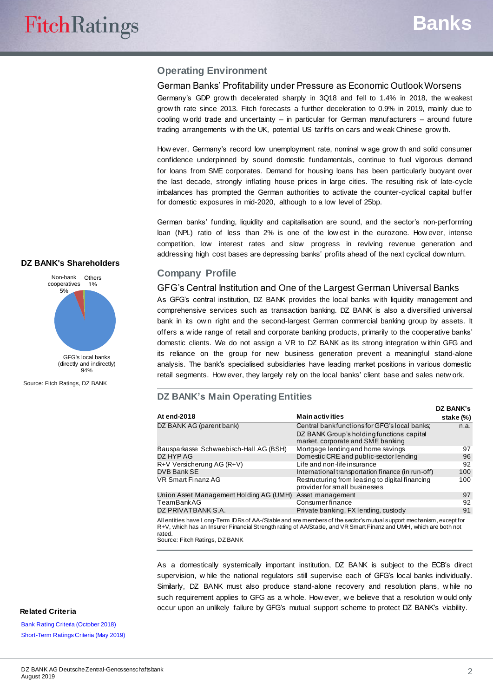#### **Operating Environment**

#### German Banks' Profitability under Pressure as Economic Outlook Worsens

Germany's GDP grow th decelerated sharply in 3Q18 and fell to 1.4% in 2018, the w eakest grow th rate since 2013. Fitch forecasts a further deceleration to 0.9% in 2019, mainly due to cooling w orld trade and uncertainty – in particular for German manufacturers – around future trading arrangements w ith the UK, potential US tariffs on cars and w eak Chinese grow th.

How ever, Germany's record low unemployment rate, nominal w age grow th and solid consumer confidence underpinned by sound domestic fundamentals, continue to fuel vigorous demand for loans from SME corporates. Demand for housing loans has been particularly buoyant over the last decade, strongly inflating house prices in large cities. The resulting risk of late-cycle imbalances has prompted the German authorities to activate the counter-cyclical capital buffer for domestic exposures in mid-2020, although to a low level of 25bp.

German banks' funding, liquidity and capitalisation are sound, and the sector's non-performing loan (NPL) ratio of less than 2% is one of the low est in the eurozone. How ever, intense competition, low interest rates and slow progress in reviving revenue generation and addressing high cost bases are depressing banks' profits ahead of the next cyclical dow nturn.

#### **Company Profile**

GFG's Central Institution and One of the Largest German Universal Banks

As GFG's central institution, DZ BANK provides the local banks w ith liquidity management and comprehensive services such as transaction banking. DZ BANK is also a diversified universal bank in its own right and the second-largest German commercial banking group by assets. It offers a w ide range of retail and corporate banking products, primarily to the cooperative banks' domestic clients. We do not assign a VR to DZ BANK as its strong integration w ithin GFG and its reliance on the group for new business generation prevent a meaningful stand-alone analysis. The bank's specialised subsidiaries have leading market positions in various domestic retail segments. How ever, they largely rely on the local banks' client base and sales netw ork.

#### **DZ BANK's Main Operating Entities**

|                                         |                                                                                                                                                                                                                                          | DZ BANK's |
|-----------------------------------------|------------------------------------------------------------------------------------------------------------------------------------------------------------------------------------------------------------------------------------------|-----------|
| At end-2018                             | <b>Main activities</b>                                                                                                                                                                                                                   | stake (%) |
| DZ BANK AG (parent bank)                | Central bankfunctions for GFG's local banks:<br>DZ BANK Group's holding functions; capital<br>market, corporate and SME banking                                                                                                          | n.a.      |
| Bausparkasse Schwaebisch-Hall AG (BSH)  | Mortgage lending and home savings                                                                                                                                                                                                        | 97        |
| DZ HYP AG                               | Domestic CRE and public-sector lending                                                                                                                                                                                                   | 96        |
| $R+V$ Versicherung AG ( $R+V$ )         | Life and non-life insurance                                                                                                                                                                                                              | 92        |
| DVB Bank SE                             | International transportation finance (in run-off)                                                                                                                                                                                        | 100       |
| <b>VR Smart Finanz AG</b>               | Restructuring from leasing to digital financing<br>provider for small businesses                                                                                                                                                         | 100       |
| Union Asset Management Holding AG (UMH) | Asset management                                                                                                                                                                                                                         | 97        |
| TeamBank AG                             | Consumerfinance                                                                                                                                                                                                                          | 92        |
| DZ PRIVATBANK S.A.                      | Private banking, FX lending, custody                                                                                                                                                                                                     | 91        |
|                                         | All entities have Long-Term IDRs of AA-/Stable and are members of the sector's mutual support mechanism, except for<br>R+V, which has an Insurer Financial Strength rating of AA/Stable, and VR Smart Finanz and UMH, which are both not |           |

rated. Source: Fitch Ratings, DZ BANK

As a domestically systemically important institution, DZ BANK is subject to the ECB's direct supervision, w hile the national regulators still supervise each of GFG's local banks individually. Similarly, DZ BANK must also produce stand-alone recovery and resolution plans, w hile no such requirement applies to GFG as a w hole. How ever, w e believe that a resolution w ould only occur upon an unlikely failure by GFG's mutual support scheme to protect DZ BANK's viability. **Related Criteria**

#### **DZ BANK's Shareholders**



(directly and indirectly) **04%** 

Source: Fitch Ratings, DZ BANK

**[Bank Rating Criteria \(October](http://api.fitchconnect.com/v1/research/FR_RPT_10044408) 2018)** [Short-Term Ratings Criteria \(May 2019\)](http://api.fitchconnect.com/v1/research/FR_RPT_10073011)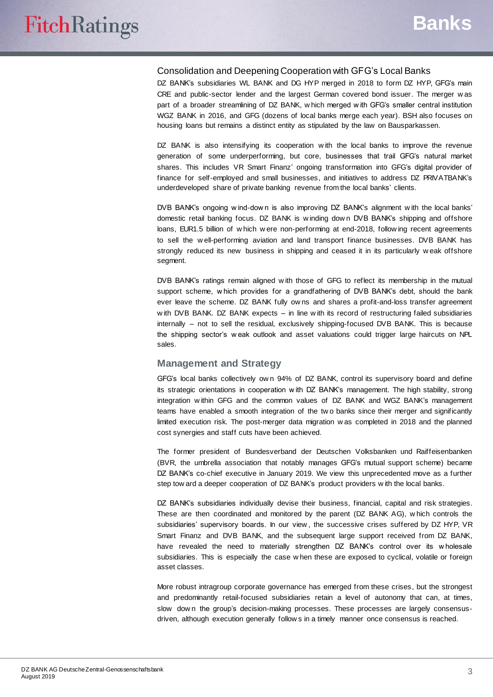#### Consolidation and Deepening Cooperation with GFG's Local Banks

DZ BANK's subsidiaries WL BANK and DG HYP merged in 2018 to form DZ HYP, GFG's main CRE and public-sector lender and the largest German covered bond issuer. The merger w as part of a broader streamlining of DZ BANK, w hich merged w ith GFG's smaller central institution WGZ BANK in 2016, and GFG (dozens of local banks merge each year). BSH also focuses on housing loans but remains a distinct entity as stipulated by the law on Bausparkassen.

DZ BANK is also intensifying its cooperation with the local banks to improve the revenue generation of some underperforming, but core, businesses that trail GFG's natural market shares. This includes VR Smart Finanz' ongoing transformation into GFG's digital provider of finance for self-employed and small businesses, and initiatives to address DZ PRIVATBANK's underdeveloped share of private banking revenue from the local banks' clients.

DVB BANK's ongoing w ind-dow n is also improving DZ BANK's alignment w ith the local banks' domestic retail banking focus. DZ BANK is w inding dow n DVB BANK's shipping and offshore loans, EUR1.5 billion of w hich w ere non-performing at end-2018, follow ing recent agreements to sell the w ell-performing aviation and land transport finance businesses. DVB BANK has strongly reduced its new business in shipping and ceased it in its particularly w eak offshore segment.

DVB BANK's ratings remain aligned w ith those of GFG to reflect its membership in the mutual support scheme, w hich provides for a grandfathering of DVB BANK's debt, should the bank ever leave the scheme. DZ BANK fully ow ns and shares a profit-and-loss transfer agreement w ith DVB BANK. DZ BANK expects – in line w ith its record of restructuring failed subsidiaries internally – not to sell the residual, exclusively shipping-focused DVB BANK. This is because the shipping sector's w eak outlook and asset valuations could trigger large haircuts on NPL sales.

#### **Management and Strategy**

GFG's local banks collectively ow n 94% of DZ BANK, control its supervisory board and define its strategic orientations in cooperation w ith DZ BANK's management. The high stability, strong integration w ithin GFG and the common values of DZ BANK and WGZ BANK's management teams have enabled a smooth integration of the tw o banks since their merger and significantly limited execution risk. The post-merger data migration w as completed in 2018 and the planned cost synergies and staff cuts have been achieved.

The former president of Bundesverband der Deutschen Volksbanken und Raiffeisenbanken (BVR, the umbrella association that notably manages GFG's mutual support scheme) became DZ BANK's co-chief executive in January 2019. We view this unprecedented move as a further step tow ard a deeper cooperation of DZ BANK's product providers w ith the local banks.

DZ BANK's subsidiaries individually devise their business, financial, capital and risk strategies. These are then coordinated and monitored by the parent (DZ BANK AG), w hich controls the subsidiaries' supervisory boards. In our view , the successive crises suffered by DZ HYP, VR Smart Finanz and DVB BANK, and the subsequent large support received from DZ BANK, have revealed the need to materially strengthen DZ BANK's control over its w holesale subsidiaries. This is especially the case w hen these are exposed to cyclical, volatile or foreign asset classes.

More robust intragroup corporate governance has emerged from these crises, but the strongest and predominantly retail-focused subsidiaries retain a level of autonomy that can, at times, slow down the group's decision-making processes. These processes are largely consensusdriven, although execution generally follow s in a timely manner once consensus is reached.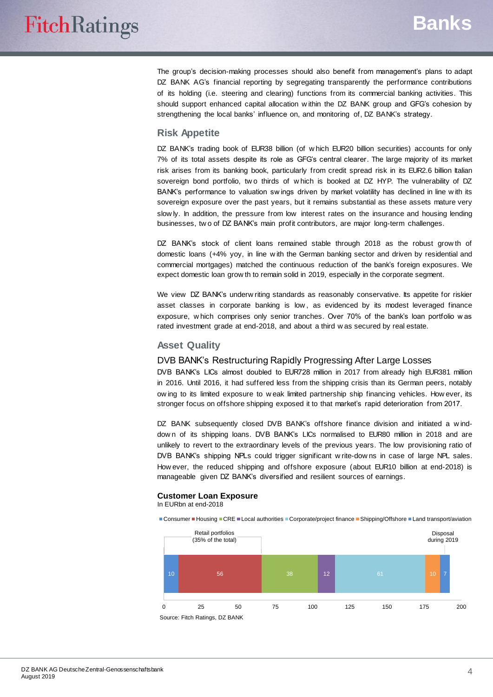The group's decision-making processes should also benefit from management's plans to adapt DZ BANK AG's financial reporting by segregating transparently the performance contributions of its holding (i.e. steering and clearing) functions from its commercial banking activities. This should support enhanced capital allocation w ithin the DZ BANK group and GFG's cohesion by strengthening the local banks' influence on, and monitoring of, DZ BANK's strategy.

#### **Risk Appetite**

DZ BANK's trading book of EUR38 billion (of w hich EUR20 billion securities) accounts for only 7% of its total assets despite its role as GFG's central clearer. The large majority of its market risk arises from its banking book, particularly from credit spread risk in its EUR2.6 billion Italian sovereign bond portfolio, two thirds of which is booked at DZ HYP. The vulnerability of DZ BANK's performance to valuation sw ings driven by market volatility has declined in line w ith its sovereign exposure over the past years, but it remains substantial as these assets mature very slow ly. In addition, the pressure from low interest rates on the insurance and housing lending businesses, tw o of DZ BANK's main profit contributors, are major long-term challenges.

DZ BANK's stock of client loans remained stable through 2018 as the robust grow th of domestic loans (+4% yoy, in line w ith the German banking sector and driven by residential and commercial mortgages) matched the continuous reduction of the bank's foreign exposures. We expect domestic loan grow th to remain solid in 2019, especially in the corporate segment.

We view DZ BANK's underw riting standards as reasonably conservative. Its appetite for riskier asset classes in corporate banking is low , as evidenced by its modest leveraged finance exposure, w hich comprises only senior tranches. Over 70% of the bank's loan portfolio w as rated investment grade at end-2018, and about a third w as secured by real estate.

#### **Asset Quality**

#### DVB BANK's Restructuring Rapidly Progressing After Large Losses

DVB BANK's LICs almost doubled to EUR728 million in 2017 from already high EUR381 million in 2016. Until 2016, it had suffered less from the shipping crisis than its German peers, notably ow ing to its limited exposure to w eak limited partnership ship financing vehicles. How ever, its stronger focus on offshore shipping exposed it to that market's rapid deterioration from 2017.

DZ BANK subsequently closed DVB BANK's offshore finance division and initiated a winddow n of its shipping loans. DVB BANK's LICs normalised to EUR80 million in 2018 and are unlikely to revert to the extraordinary levels of the previous years. The low provisioning ratio of DVB BANK's shipping NPLs could trigger significant w rite-dow ns in case of large NPL sales. How ever, the reduced shipping and offshore exposure (about EUR10 billion at end-2018) is manageable given DZ BANK's diversified and resilient sources of earnings.

#### **Customer Loan Exposure** In EURbn at end-2018

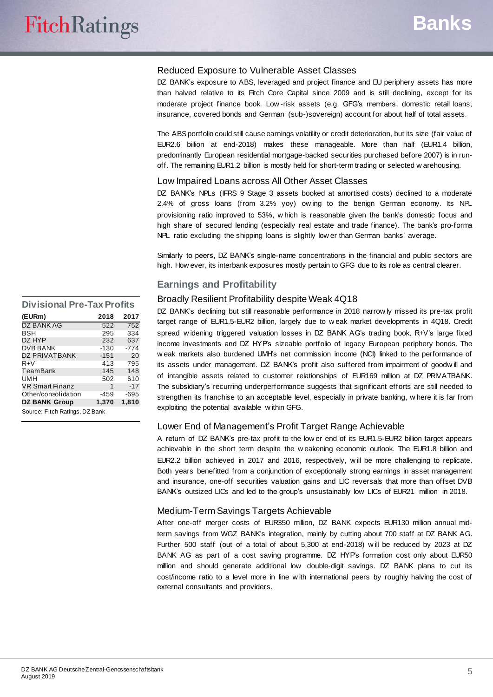#### Reduced Exposure to Vulnerable Asset Classes

DZ BANK's exposure to ABS, leveraged and project finance and EU periphery assets has more than halved relative to its Fitch Core Capital since 2009 and is still declining, except for its moderate project finance book. Low -risk assets (e.g. GFG's members, domestic retail loans, insurance, covered bonds and German (sub-)sovereign) account for about half of total assets.

The ABS portfolio could still cause earnings volatility or credit deterioration, but its size (fair value of EUR2.6 billion at end-2018) makes these manageable. More than half (EUR1.4 billion, predominantly European residential mortgage-backed securities purchased before 2007) is in runoff. The remaining EUR1.2 billion is mostly held for short-term trading or selected w arehousing.

#### Low Impaired Loans across All Other Asset Classes

DZ BANK's NPLs (IFRS 9 Stage 3 assets booked at amortised costs) declined to a moderate 2.4% of gross loans (from 3.2% yoy) ow ing to the benign German economy. Its NPL provisioning ratio improved to 53%, w hich is reasonable given the bank's domestic focus and high share of secured lending (especially real estate and trade finance). The bank's pro-forma NPL ratio excluding the shipping loans is slightly low er than German banks' average.

Similarly to peers, DZ BANK's single-name concentrations in the financial and public sectors are high. How ever, its interbank exposures mostly pertain to GFG due to its role as central clearer.

#### **Earnings and Profitability**

#### Broadly Resilient Profitability despite Weak 4Q18

DZ BANK's declining but still reasonable performance in 2018 narrow ly missed its pre-tax profit target range of EUR1.5-EUR2 billion, largely due to w eak market developments in 4Q18. Credit spread w idening triggered valuation losses in DZ BANK AG's trading book, R+V's large fixed income investments and DZ HYP's sizeable portfolio of legacy European periphery bonds. The w eak markets also burdened UMH's net commission income (NCI) linked to the performance of its assets under management. DZ BANK's profit also suffered from impairment of goodw ill and of intangible assets related to customer relationships of EUR169 million at DZ PRIVATBANK. The subsidiary's recurring underperformance suggests that significant efforts are still needed to strengthen its franchise to an acceptable level, especially in private banking, w here it is far from exploiting the potential available w ithin GFG.

#### Lower End of Management's Profit Target Range Achievable

A return of DZ BANK's pre-tax profit to the low er end of its EUR1.5-EUR2 billion target appears achievable in the short term despite the w eakening economic outlook. The EUR1.8 billion and EUR2.2 billion achieved in 2017 and 2016, respectively, w ill be more challenging to replicate. Both years benefitted from a conjunction of exceptionally strong earnings in asset management and insurance, one-off securities valuation gains and LIC reversals that more than offset DVB BANK's outsized LICs and led to the group's unsustainably low LICs of EUR21 million in 2018.

#### Medium-Term Savings Targets Achievable

After one-off merger costs of EUR350 million, DZ BANK expects EUR130 million annual midterm savings from WGZ BANK's integration, mainly by cutting about 700 staff at DZ BANK AG. Further 500 staff (out of a total of about 5,300 at end-2018) w ill be reduced by 2023 at DZ BANK AG as part of a cost saving programme. DZ HYP's formation cost only about EUR50 million and should generate additional low double-digit savings. DZ BANK plans to cut its cost/income ratio to a level more in line w ith international peers by roughly halving the cost of external consultants and providers.

| <b>Divisional Pre-Tax Profits</b> |        |       |  |  |
|-----------------------------------|--------|-------|--|--|
| (EURm)                            | 2018   | 2017  |  |  |
| DZ BANK AG                        | 522    | 752   |  |  |
| BSH                               | 295    | 334   |  |  |
| DZ HYP                            | 232    | 637   |  |  |
| <b>DVB BANK</b>                   | $-130$ | -774  |  |  |
| <b>DZ PRIVATBANK</b>              | $-151$ | 20    |  |  |
| $R + V$                           | 413    | 795   |  |  |
| TeamBank                          | 145    | 148   |  |  |
| UMH                               | 502    | 610   |  |  |
| <b>VR Smart Finanz</b>            | 1      | $-17$ |  |  |
| Other/consolidation               | $-459$ | -695  |  |  |
| <b>DZ BANK Group</b>              | 1,370  | 1.810 |  |  |
| Source: Fitch Ratings, DZ Bank    |        |       |  |  |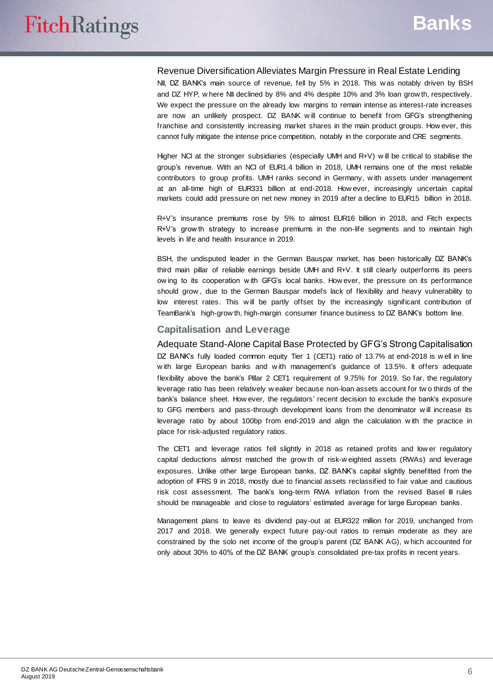#### Revenue Diversification Alleviates Margin Pressure in Real Estate Lending

NII, DZ BANK's main source of revenue, fell by 5% in 2018. This w as notably driven by BSH and DZ HYP, w here NII declined by 8% and 4% despite 10% and 3% loan grow th, respectively. We expect the pressure on the already low margins to remain intense as interest-rate increases are now an unlikely prospect. DZ BANK w ill continue to benefit from GFG's strengthening franchise and consistently increasing market shares in the main product groups. How ever, this cannot fully mitigate the intense price competition, notably in the corporate and CRE segments.

Higher NCI at the stronger subsidiaries (especially UMH and R+V) w ill be critical to stabilise the group's revenue. With an NCI of EUR1.4 billion in 2018, UMH remains one of the most reliable contributors to group profits. UMH ranks second in Germany, w ith assets under management at an all-time high of EUR331 billion at end-2018. How ever, increasingly uncertain capital markets could add pressure on net new money in 2019 after a decline to EUR15 billion in 2018.

R+V's insurance premiums rose by 5% to almost EUR16 billion in 2018, and Fitch expects R+V's grow th strategy to increase premiums in the non-life segments and to maintain high levels in life and health insurance in 2019.

BSH, the undisputed leader in the German Bauspar market, has been historically DZ BANK's third main pillar of reliable earnings beside UMH and R+V. It still clearly outperforms its peers ow ing to its cooperation w ith GFG's local banks. How ever, the pressure on its performance should grow , due to the German Bauspar model's lack of flexibility and heavy vulnerability to low interest rates. This w ill be partly offset by the increasingly significant contribution of TeamBank's high-grow th, high-margin consumer finance business to DZ BANK's bottom line.

#### **Capitalisation and Leverage**

Adequate Stand-Alone Capital Base Protected by GFG's Strong Capitalisation DZ BANK's fully loaded common equity Tier 1 (CET1) ratio of 13.7% at end-2018 is w ell in line w ith large European banks and w ith management's guidance of 13.5%. It offers adequate flexibility above the bank's Pillar 2 CET1 requirement of 9.75% for 2019. So far, the requlatory leverage ratio has been relatively w eaker because non-loan assets account for tw o thirds of the bank's balance sheet. How ever, the regulators' recent decision to exclude the bank's exposure to GFG members and pass-through development loans from the denominator w ill increase its leverage ratio by about 100bp from end-2019 and align the calculation w ith the practice in place for risk-adjusted regulatory ratios.

The CET1 and leverage ratios fell slightly in 2018 as retained profits and low er regulatory capital deductions almost matched the grow th of risk-w eighted assets (RWAs) and leverage exposures. Unlike other large European banks, DZ BANK's capital slightly benefitted from the adoption of IFRS 9 in 2018, mostly due to financial assets reclassified to fair value and cautious risk cost assessment. The bank's long-term RWA inflation from the revised Basel III rules should be manageable and close to regulators' estimated average for large European banks.

Management plans to leave its dividend pay-out at EUR322 million for 2019, unchanged from 2017 and 2018. We generally expect future pay-out ratios to remain moderate as they are constrained by the solo net income of the group's parent (DZ BANK AG), w hich accounted for only about 30% to 40% of the DZ BANK group's consolidated pre-tax profits in recent years.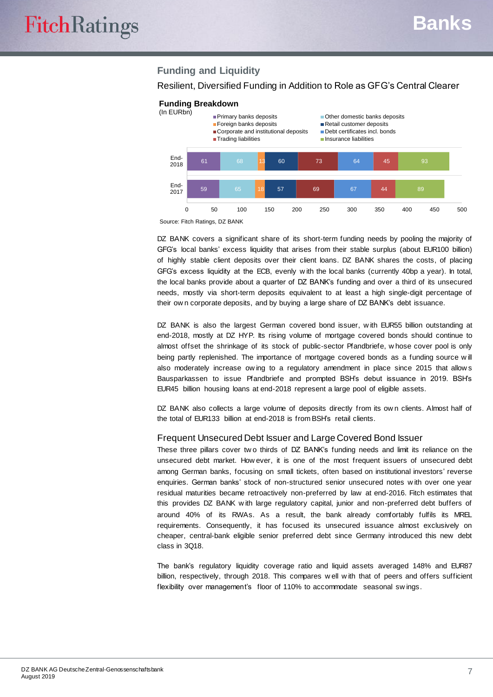### **Funding and Liquidity**

#### Resilient, Diversified Funding in Addition to Role as GFG's Central Clearer



#### **Funding Breakdown**

Source: Fitch Ratings, DZ BANK

DZ BANK covers a significant share of its short-term funding needs by pooling the majority of GFG's local banks' excess liquidity that arises from their stable surplus (about EUR100 billion) of highly stable client deposits over their client loans. DZ BANK shares the costs, of placing GFG's excess liquidity at the ECB, evenly w ith the local banks (currently 40bp a year). In total, the local banks provide about a quarter of DZ BANK's funding and over a third of its unsecured needs, mostly via short-term deposits equivalent to at least a high single-digit percentage of their ow n corporate deposits, and by buying a large share of DZ BANK's debt issuance.

DZ BANK is also the largest German covered bond issuer, with EUR55 billion outstanding at end-2018, mostly at DZ HYP. Its rising volume of mortgage covered bonds should continue to almost offset the shrinkage of its stock of public-sector Pfandbriefe, w hose cover pool is only being partly replenished. The importance of mortgage covered bonds as a funding source w ill also moderately increase ow ing to a regulatory amendment in place since 2015 that allow s Bausparkassen to issue Pfandbriefe and prompted BSH's debut issuance in 2019. BSH's EUR45 billion housing loans at end-2018 represent a large pool of eligible assets.

DZ BANK also collects a large volume of deposits directly from its own clients. Almost half of the total of EUR133 billion at end-2018 is from BSH's retail clients.

#### Frequent Unsecured Debt Issuer and Large Covered Bond Issuer

These three pillars cover tw o thirds of DZ BANK's funding needs and limit its reliance on the unsecured debt market. How ever, it is one of the most frequent issuers of unsecured debt among German banks, focusing on small tickets, often based on institutional investors' reverse enquiries. German banks' stock of non-structured senior unsecured notes w ith over one year residual maturities became retroactively non-preferred by law at end-2016. Fitch estimates that this provides DZ BANK w ith large regulatory capital, junior and non-preferred debt buffers of around 40% of its RWAs. As a result, the bank already comfortably fulfils its MREL requirements. Consequently, it has focused its unsecured issuance almost exclusively on cheaper, central-bank eligible senior preferred debt since Germany introduced this new debt class in 3Q18.

The bank's regulatory liquidity coverage ratio and liquid assets averaged 148% and EUR87 billion, respectively, through 2018. This compares w ell w ith that of peers and offers sufficient flexibility over management's floor of 110% to accommodate seasonal swings.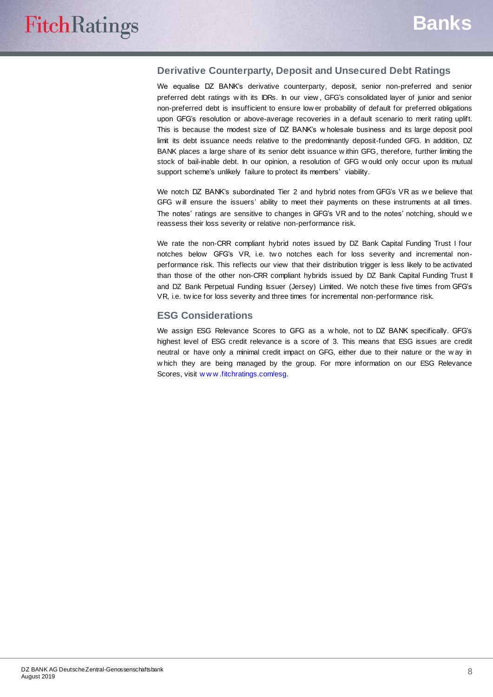#### **Derivative Counterparty, Deposit and Unsecured Debt Ratings**

We equalise DZ BANK's derivative counterparty, deposit, senior non-preferred and senior preferred debt ratings w ith its IDRs. In our view , GFG's consolidated layer of junior and senior non-preferred debt is insufficient to ensure low er probability of default for preferred obligations upon GFG's resolution or above-average recoveries in a default scenario to merit rating uplift. This is because the modest size of DZ BANK's w holesale business and its large deposit pool limit its debt issuance needs relative to the predominantly deposit-funded GFG. In addition, DZ BANK places a large share of its senior debt issuance w ithin GFG, therefore, further limiting the stock of bail-inable debt. In our opinion, a resolution of GFG w ould only occur upon its mutual support scheme's unlikely failure to protect its members' viability.

We notch DZ BANK's subordinated Tier 2 and hybrid notes from GFG's VR as w e believe that GFG w ill ensure the issuers' ability to meet their payments on these instruments at all times. The notes' ratings are sensitive to changes in GFG's VR and to the notes' notching, should w e reassess their loss severity or relative non-performance risk.

We rate the non-CRR compliant hybrid notes issued by DZ Bank Capital Funding Trust I four notches below GFG's VR, i.e. two notches each for loss severity and incremental nonperformance risk. This reflects our view that their distribution trigger is less likely to be activated than those of the other non-CRR compliant hybrids issued by DZ Bank Capital Funding Trust II and DZ Bank Perpetual Funding Issuer (Jersey) Limited. We notch these five times from GFG's VR, i.e. tw ice for loss severity and three times for incremental non-performance risk.

#### **ESG Considerations**

We assign ESG Relevance Scores to GFG as a w hole, not to DZ BANK specifically. GFG's highest level of ESG credit relevance is a score of 3. This means that ESG issues are credit neutral or have only a minimal credit impact on GFG, either due to their nature or the w ay in w hich they are being managed by the group. For more information on our ESG Relevance Scores, visit [w w w .fitchratings.com/esg](http://www.fitchratings.com/esg).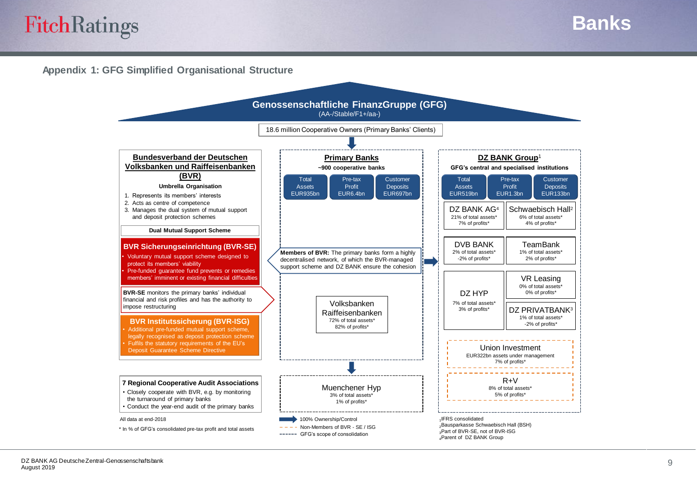## **FitchRatings**

**Banks**

#### **Appendix 1: GFG Simplified Organisational Structure**

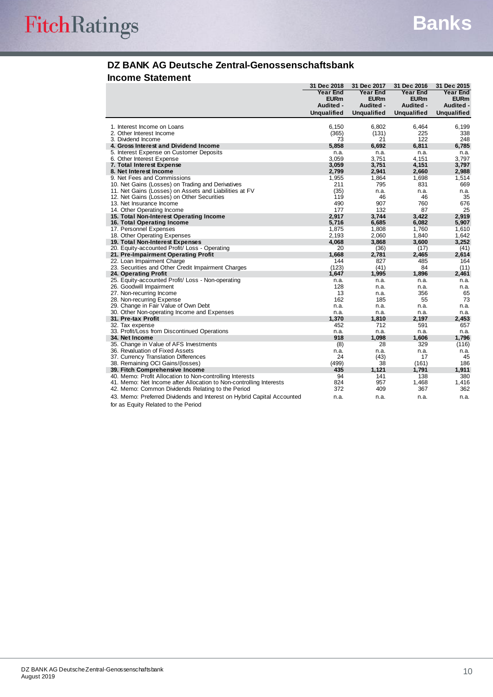#### **DZ BANK AG Deutsche Zentral-Genossenschaftsbank Income Statement**

|                                                                        | 31 Dec 2018        | 31 Dec 2017        | 31 Dec 2016        | 31 Dec 2015        |
|------------------------------------------------------------------------|--------------------|--------------------|--------------------|--------------------|
|                                                                        | <b>Year End</b>    | <b>Year End</b>    | <b>Year End</b>    | <b>Year End</b>    |
|                                                                        | <b>EURm</b>        | <b>EURm</b>        | <b>EURm</b>        | <b>EURm</b>        |
|                                                                        | Audited -          | Audited -          | Audited -          | Audited -          |
|                                                                        | <b>Unqualified</b> | <b>Unqualified</b> | <b>Unqualified</b> | <b>Unqualified</b> |
|                                                                        |                    |                    |                    |                    |
| 1. Interest Income on Loans                                            | 6,150              | 6,802              | 6,464              | 6,199              |
| 2. Other Interest Income                                               | (365)              | (131)              | 225                | 338                |
| 3. Dividend Income                                                     | 73                 | 21                 | 122                | 248                |
| 4. Gross Interest and Dividend Income                                  | 5,858              | 6,692              | 6,811              | 6,785              |
| 5. Interest Expense on Customer Deposits                               | n.a.               | n.a.               | n.a.               | n.a.               |
| 6. Other Interest Expense                                              | 3,059              | 3,751              | 4,151              | 3,797              |
| 7. Total Interest Expense                                              | 3,059              | 3,751              | 4,151              | 3,797              |
| 8. Net Interest Income                                                 | 2,799              | 2,941              | 2,660              | 2,988              |
| 9. Net Fees and Commissions                                            | 1,955              | 1,864              | 1,698              | 1,514              |
| 10. Net Gains (Losses) on Trading and Derivatives                      | 211<br>(35)        | 795                | 831                | 669                |
| 11. Net Gains (Losses) on Assets and Liabilities at FV                 |                    | n.a.<br>46         | n.a.<br>46         | n.a.               |
| 12. Net Gains (Losses) on Other Securities<br>13. Net Insurance Income | 119<br>490         | 907                | 760                | 35<br>676          |
|                                                                        | 177                | 132                | 87                 | 25                 |
| 14. Other Operating Income<br>15. Total Non-Interest Operating Income  | 2,917              | 3.744              | 3.422              | 2,919              |
| 16. Total Operating Income                                             | 5,716              | 6,685              | 6,082              | 5,907              |
| 17. Personnel Expenses                                                 | 1,875              | 1.808              | 1.760              | 1,610              |
| 18. Other Operating Expenses                                           | 2,193              | 2,060              | 1,840              | 1,642              |
| 19. Total Non-Interest Expenses                                        | 4.068              | 3,868              | 3,600              | 3,252              |
| 20. Equity-accounted Profit/ Loss - Operating                          | 20                 | (36)               | (17)               | (41)               |
| 21. Pre-Impairment Operating Profit                                    | 1,668              | 2,781              | 2,465              | 2,614              |
| 22. Loan Impairment Charge                                             | 144                | 827                | 485                | 164                |
| 23. Securities and Other Credit Impairment Charges                     | (123)              | (41)               | 84                 | (11)               |
| 24. Operating Profit                                                   | 1,647              | 1,995              | 1,896              | 2,461              |
| 25. Equity-accounted Profit/ Loss - Non-operating                      | n.a.               | n.a.               | n.a.               | n.a.               |
| 26. Goodwill Impairment                                                | 128                | n.a.               | n.a.               | n.a.               |
| 27. Non-recurring Income                                               | 13                 | n.a.               | 356                | 65                 |
| 28. Non-recurring Expense                                              | 162                | 185                | 55                 | 73                 |
| 29. Change in Fair Value of Own Debt                                   | n.a.               | n.a.               | n.a.               | n.a.               |
| 30. Other Non-operating Income and Expenses                            | n.a.               | n.a.               | n.a.               | n.a.               |
| 31. Pre-tax Profit                                                     | 1,370              | 1,810              | 2,197              | 2,453              |
| 32. Tax expense                                                        | 452                | 712                | 591                | 657                |
| 33. Profit/Loss from Discontinued Operations                           | n.a.               | n.a.               | n.a.               | n.a.               |
| 34. Net Income                                                         | 918                | 1.098              | 1.606              | 1,796              |
| 35. Change in Value of AFS Investments                                 | (8)                | 28                 | 329                | (116)              |
| 36. Revaluation of Fixed Assets                                        | n.a.               | n.a.               | n.a.               | n.a.               |
| 37. Currency Translation Differences                                   | 24                 | (43)               | 17                 | 45                 |
| 38. Remaining OCI Gains/(losses)                                       | (499)              | 38                 | (161)              | 186                |
| 39. Fitch Comprehensive Income                                         | 435                | 1,121              | 1,791              | 1,911              |
| 40. Memo: Profit Allocation to Non-controlling Interests               | 94                 | 141                | 138                | 380                |
| 41. Memo: Net Income after Allocation to Non-controlling Interests     | 824                | 957                | 1,468              | 1,416              |
| 42. Memo: Common Dividends Relating to the Period                      | 372                | 409                | 367                | 362                |
| 43. Memo: Preferred Dividends and Interest on Hybrid Capital Accounted | n.a.               | n.a.               | n.a.               | n.a.               |
| for as Equity Related to the Period                                    |                    |                    |                    |                    |
|                                                                        |                    |                    |                    |                    |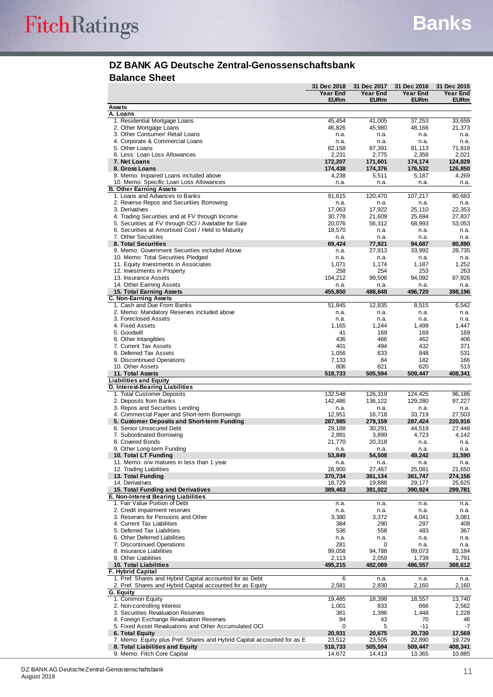#### **DZ BANK AG Deutsche Zentral-Genossenschaftsbank Balance Sheet**

|                                                                         | 31 Dec 2018       | 31 Dec 2017       | 31 Dec 2016       | 31 Dec 2015       |
|-------------------------------------------------------------------------|-------------------|-------------------|-------------------|-------------------|
|                                                                         | <b>Year End</b>   | Year End          | Year End          | Year End          |
|                                                                         | <b>EURm</b>       | <b>EURm</b>       | <b>EURm</b>       | <b>EURm</b>       |
| <b>Assets</b>                                                           |                   |                   |                   |                   |
| A. Loans                                                                |                   |                   |                   |                   |
| 1. Residential Mortgage Loans                                           | 45,454            | 41,005            | 37,253            | 33,659            |
| 2. Other Mortgage Loans                                                 | 46,826            | 45,980            | 48,166            | 21,373            |
| 3. Other Consumer/ Retail Loans                                         | n.a.              | n.a.              | n.a.              | n.a.              |
| 4. Corporate & Commercial Loans<br>5. Other Loans                       | n.a.<br>82,158    | n.a.<br>87,391    | n.a.<br>91,113    | n.a.<br>71,818    |
| 6. Less: Loan Loss Allowances                                           | 2,231             | 2,775             | 2,358             | 2,021             |
| 7. Net Loans                                                            | 172,207           | 171,601           | 174,174           | 124,829           |
| 8. Gross Loans                                                          | 174,438           | 174,376           | 176,532           | 126,850           |
| 9. Memo: Impaired Loans included above                                  | 4,238             | 5,511             | 5,187             | 4,269             |
| 10. Memo: Specific Loan Loss Allowances                                 | n.a.              | n.a.              | n.a.              | n.a.              |
| <b>B. Other Earning Assets</b>                                          |                   |                   |                   |                   |
| 1. Loans and Advances to Banks                                          | 91,615            | 120,470           | 107,217           | 80,683            |
| 2. Reverse Repos and Securities Borrowing                               | n.a.              | n.a.              | n.a.              | n.a.              |
| 3. Derivatives                                                          | 17,063            | 17,922            | 25,110            | 22,353            |
| 4. Trading Securities and at FV through Income                          | 30,778            | 21,609            | 25,694            | 27,837            |
| 5. Securities at FV through OCI / Available for Sale                    | 20,076            | 56,312            | 68,993            | 53,053            |
| 6. Securities at Amortised Cost / Held to Maturity                      | 18,570            | n.a.              | n.a.              | n.a.              |
| 7. Other Securities                                                     | n.a.              | n.a.              | n.a.              | n.a.              |
| 8. Total Securities                                                     | 69,424            | 77,921            | 94,687            | 80,890            |
| 9. Memo: Government Securities included Above                           | n.a.              | 27,913            | 33,992            | 28,735            |
| 10. Memo: Total Securities Pledged                                      | n.a.              | n.a.              | n.a.              | n.a.              |
| 11. Equity Investments in Associates                                    | 1,071             | 1,174             | 1,187             | 1,252             |
| 12. Investments in Property                                             | 258               | 254               | 253               | 263               |
| 13. Insurance Assets                                                    | 104,212           | 99,506            | 94,092            | 87,926            |
| 14. Other Earning Assets                                                | n.a.              | n.a.              | n.a.              | n.a.              |
| 15. Total Earning Assets                                                | 455,850           | 488,848           | 496,720           | 398,196           |
| C. Non-Earning Assets<br>1. Cash and Due From Banks                     |                   |                   |                   | 6,542             |
| 2. Memo: Mandatory Reserves included above                              | 51,845<br>n.a.    | 12,835<br>n.a.    | 8,515<br>n.a.     | n.a.              |
| 3. Foreclosed Assets                                                    |                   |                   |                   |                   |
| 4. Fixed Assets                                                         | n.a.<br>1,165     | n.a.              | n.a.<br>1,499     | n.a.<br>1,447     |
| 5. Goodwill                                                             | 41                | 1,244<br>169      | 169               | 169               |
| 6. Other Intangibles                                                    | 436               | 466               | 462               | 406               |
| 7. Current Tax Assets                                                   | 401               | 494               | 432               | 371               |
| 8. Deferred Tax Assets                                                  | 1,056             | 633               | 848               | 531               |
| 9. Discontinued Operations                                              | 7,133             | 84                | 182               | 166               |
| 10. Other Assets                                                        | 806               | 821               | 620               | 513               |
| 11. Total Assets                                                        | 518,733           | 505,594           | 509,447           | 408,341           |
| <b>Liabilities and Equity</b>                                           |                   |                   |                   |                   |
| D. Interest-Bearing Liabilities                                         |                   |                   |                   |                   |
| 1. Total Customer Deposits                                              | 132,548           | 126,319           | 124,425           | 96,186            |
| 2. Deposits from Banks                                                  | 142,486           | 136,122           | 129,280           | 97,227            |
| 3. Repos and Securities Lending                                         | n.a.              | n.a.              | n.a.              | n.a.              |
| 4. Commercial Paper and Short-term Borrowings                           | 12,951            | 16,718            | 33,719            | 27,503            |
| 5. Customer Deposits and Short-term Funding                             | 287,985           | 279,159           | 287,424           | 220,916           |
| 6. Senior Unsecured Debt                                                | 29,188            | 30,291            | 44,519            | 27,448            |
| 7. Subordinated Borrowing                                               | 2,891             | 3,899             | 4,723             | 4,142             |
| 8. Covered Bonds                                                        | 21,770            | 20,318            | n.a.              | n.a.              |
| 9. Other Long-term Funding                                              | n.a.              | n.a.              | n.a.              | n.a.              |
| 10. Total LT Funding                                                    | 53,849            | 54,508            | 49,242            | 31,590            |
| 11. Memo: o/w matures in less than 1 year                               | n.a.              | n.a.              | n.a.              | n.a.              |
| 12. Trading Liabilities                                                 | 28,900            | 27,467<br>361,134 | 25,081            | 21,650            |
| 13. Total Funding<br>14. Derivatives                                    | 370,734<br>18,729 | 19,888            | 361,747<br>29,177 | 274,156<br>25,625 |
| 15. Total Funding and Derivatives                                       | 389.463           | 381,022           | 390,924           | 299,781           |
| E. Non-Interest Bearing Liabilities                                     |                   |                   |                   |                   |
| 1. Fair Value Portion of Debt                                           | n.a.              | n.a.              | n.a.              | n.a.              |
| 2. Credit impairment reserves                                           | n.a.              | n.a.              | n.a.              | n.a.              |
| 3. Reserves for Pensions and Other                                      | 3,380             | 3,372             | 4,041             | 3,081             |
| 4. Current Tax Liabilities                                              | 384               | 290               | 297               | 408               |
| 5. Deferred Tax Liabilities                                             | 536               | 558               | 483               | 367               |
| 6. Other Deferred Liabilities                                           | n.a.              | n.a.              | n.a.              | n.a.              |
| 7. Discontinued Operations                                              | 281               | 0                 | n.a.              | n.a.              |
| 8. Insurance Liabilities                                                | 99,058            | 94,788            | 89,073            | 83,184            |
| 9. Other Liabilities                                                    | 2,113             | 2,059             | 1,739             | 1,791             |
| 10. Total Liabilities                                                   | 495,215           | 482,089           | 486,557           | 388,612           |
| F. Hybrid Capital                                                       |                   |                   |                   |                   |
| 1. Pref. Shares and Hybrid Capital accounted for as Debt                | 6                 | n.a.              | n.a.              | n.a.              |
| 2. Pref. Shares and Hybrid Capital accounted for as Equity              | 2,581             | 2,830             | 2,160             | 2,160             |
| G. Equity                                                               |                   |                   |                   |                   |
| 1. Common Equity                                                        | 19,485            | 18,398            | 18,557            | 13,740            |
| 2. Non-controlling Interest                                             | 1,001             | 833               | 666               | 2,562             |
| 3. Securities Revaluation Reserves                                      | 361               | 1,396             | 1,448             | 1,228             |
| 4. Foreign Exchange Revaluation Reserves                                | 84                | 43                | 70                | 46                |
| 5. Fixed Asset Revaluations and Other Accumulated OCI                   | $\mathbf 0$       | 5                 | -11               | -7                |
| 6. Total Equity                                                         | 20,931            | 20,675            | 20,730            | 17,569            |
| 7. Memo: Equity plus Pref. Shares and Hybrid Capital accounted for as E | 23,512            | 23,505            | 22,890            | 19,729            |
| 8. Total Liabilities and Equity                                         | 518,733           | 505,594           | 509,447           | 408,341<br>10,885 |
| 9. Memo: Fitch Core Capital                                             | 14,672            | 14,413            | 13,365            |                   |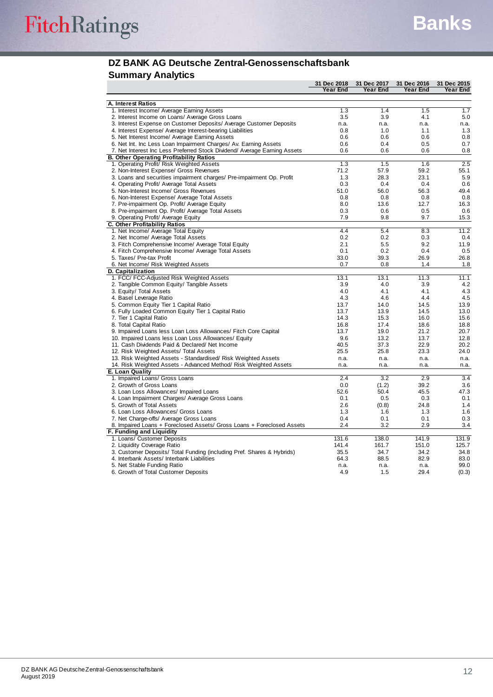### **DZ BANK AG Deutsche Zentral-Genossenschaftsbank**

### **Summary Analytics**

|                                                                           | 31 Dec 2018 | 31 Dec 2017      | 31 Dec 2016 | 31 Dec 2015 |
|---------------------------------------------------------------------------|-------------|------------------|-------------|-------------|
|                                                                           | Year End    | Year End         | Year End    | Year End    |
|                                                                           |             |                  |             |             |
| A. Interest Ratios                                                        |             |                  |             |             |
| 1. Interest Income/ Average Earning Assets                                | 1.3         | 1.4              | 1.5         | 1.7         |
| 2. Interest Income on Loans/ Average Gross Loans                          | 3.5         | 3.9              | 4.1         | 5.0         |
| 3. Interest Expense on Customer Deposits/ Average Customer Deposits       | n.a.        | n.a.             | n.a.        | n.a.        |
| 4. Interest Expense/ Average Interest-bearing Liabilities                 | 0.8         | 1.0              | 1.1         | 1.3         |
| 5. Net Interest Income/ Average Earning Assets                            | 0.6         | 0.6              | 0.6         | 0.8         |
| 6. Net Int. Inc Less Loan Impairment Charges/ Av. Earning Assets          | 0.6         | 0.4              | 0.5         | 0.7         |
| 7. Net Interest Inc Less Preferred Stock Dividend/ Average Earning Assets | 0.6         | 0.6              | 0.6         | 0.8         |
| <b>B. Other Operating Profitability Ratios</b>                            |             |                  |             |             |
| 1. Operating Profit/ Risk Weighted Assets                                 | 1.3         | 1.5              | 1.6         | 2.5         |
| 2. Non-Interest Expense/ Gross Revenues                                   | 71.2        | 57.9             | 59.2        | 55.1        |
| 3. Loans and securities impairment charges/ Pre-impairment Op. Profit     | 1.3         | 28.3             | 23.1        | 5.9         |
| 4. Operating Profit/ Average Total Assets                                 | 0.3         | 0.4              | 0.4         | 0.6         |
| 5. Non-Interest Income/ Gross Revenues                                    | 51.0        | 56.0             | 56.3        | 49.4        |
| 6. Non-Interest Expense/ Average Total Assets                             | 0.8         | 0.8              | 0.8         | 0.8         |
|                                                                           | 8.0         | 13.6             | 12.7        | 16.3        |
| 7. Pre-impairment Op. Profit/ Average Equity                              |             |                  |             |             |
| 8. Pre-impairment Op. Profit/ Average Total Assets                        | 0.3         | 0.6              | 0.5         | 0.6         |
| 9. Operating Profit/ Average Equity                                       | 7.9         | 9.8              | 9.7         | 15.3        |
| C. Other Profitability Ratios                                             |             |                  |             |             |
| 1. Net Income/ Average Total Equity                                       | 4.4         | 5.4              | 8.3         | 11.2        |
| 2. Net Income/ Average Total Assets                                       | 0.2         | 0.2              | 0.3         | 0.4         |
| 3. Fitch Comprehensive Income/ Average Total Equity                       | 2.1         | 5.5              | 9.2         | 11.9        |
| 4. Fitch Comprehensive Income/ Average Total Assets                       | 0.1         | 0.2              | 0.4         | 0.5         |
| 5. Taxes/ Pre-tax Profit                                                  | 33.0        | 39.3             | 26.9        | 26.8        |
| 6. Net Income/ Risk Weighted Assets                                       | 0.7         | 0.8              | 1.4         | 1.8         |
| D. Capitalization                                                         |             |                  |             |             |
| 1. FCC/ FCC-Adjusted Risk Weighted Assets                                 | 13.1        | 13.1             | 11.3        | 11.1        |
| 2. Tangible Common Equity/ Tangible Assets                                | 3.9         | 4.0              | 3.9         | 4.2         |
| 3. Equity/ Total Assets                                                   | 4.0         | 4.1              | 4.1         | 4.3         |
| 4. Basel Leverage Ratio                                                   | 4.3         | 4.6              | 4.4         | 4.5         |
| 5. Common Equity Tier 1 Capital Ratio                                     | 13.7        | 14.0             | 14.5        | 13.9        |
| 6. Fully Loaded Common Equity Tier 1 Capital Ratio                        | 13.7        | 13.9             | 14.5        | 13.0        |
| 7. Tier 1 Capital Ratio                                                   | 14.3        | 15.3             | 16.0        | 15.6        |
| 8. Total Capital Ratio                                                    | 16.8        | 17.4             | 18.6        | 18.8        |
| 9. Impaired Loans less Loan Loss Allowances/ Fitch Core Capital           | 13.7        | 19.0             | 21.2        | 20.7        |
|                                                                           |             |                  |             |             |
| 10. Impaired Loans less Loan Loss Allowances/ Equity                      | 9.6         | 13.2             | 13.7        | 12.8        |
| 11. Cash Dividends Paid & Declared/ Net Income                            | 40.5        | 37.3             | 22.9        | 20.2        |
| 12. Risk Weighted Assets/ Total Assets                                    | 25.5        | 25.8             | 23.3        | 24.0        |
| 13. Risk Weighted Assets - Standardised/ Risk Weighted Assets             | n.a.        | n.a.             | n.a.        | n.a.        |
| 14. Risk Weighted Assets - Advanced Method/ Risk Weighted Assets          | n.a.        | n.a.             | n.a.        | n.a.        |
| E. Loan Quality                                                           |             |                  |             |             |
| 1. Impaired Loans/ Gross Loans                                            | 2.4         | $\overline{3.2}$ | 2.9         | 3.4         |
| 2. Growth of Gross Loans                                                  | 0.0         | (1.2)            | 39.2        | 3.6         |
| 3. Loan Loss Allowances/ Impaired Loans                                   | 52.6        | 50.4             | 45.5        | 47.3        |
| 4. Loan Impairment Charges/ Average Gross Loans                           | 0.1         | 0.5              | 0.3         | 0.1         |
| 5. Growth of Total Assets                                                 | 2.6         | (0.8)            | 24.8        | 1.4         |
| 6. Loan Loss Allowances/ Gross Loans                                      | 1.3         | 1.6              | 1.3         | 1.6         |
| 7. Net Charge-offs/ Average Gross Loans                                   | 0.4         | 0.1              | 0.1         | 0.3         |
| 8. Impaired Loans + Foreclosed Assets/ Gross Loans + Foreclosed Assets    | 2.4         | 3.2              | 2.9         | 3.4         |
| F. Funding and Liquidity                                                  |             |                  |             |             |
| 1. Loans/ Customer Deposits                                               | 131.6       | 138.0            | 141.9       | 131.9       |
| 2. Liquidity Coverage Ratio                                               | 141.4       | 161.7            | 151.0       | 125.7       |
| 3. Customer Deposits/ Total Funding (including Pref. Shares & Hybrids)    | 35.5        | 34.7             | 34.2        | 34.8        |
| 4. Interbank Assets/ Interbank Liabilities                                | 64.3        | 88.5             | 82.9        | 83.0        |
|                                                                           |             |                  |             | 99.0        |
| 5. Net Stable Funding Ratio                                               | n.a.        | n.a.             | n.a.        |             |
| 6. Growth of Total Customer Deposits                                      | 4.9         | 1.5              | 29.4        | (0.3)       |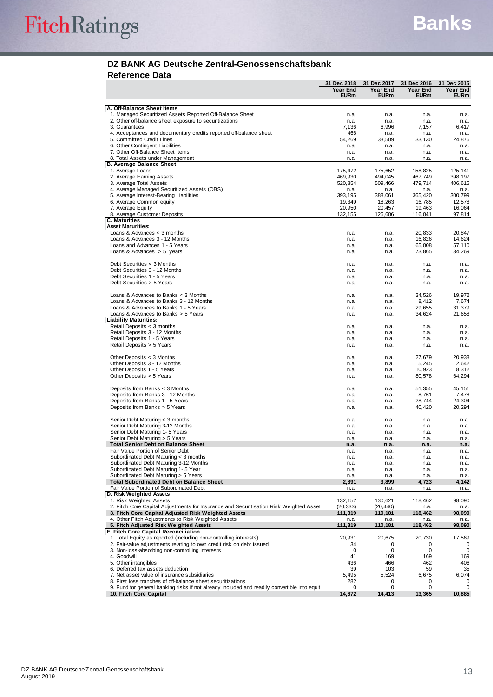# FitchRatings

#### **DZ BANK AG Deutsche Zentral-Genossenschaftsbank Reference Data**

|                                                                                                | 31 Dec 2018     | 31 Dec 2017     | 31 Dec 2016      | 31 Dec 2015      |
|------------------------------------------------------------------------------------------------|-----------------|-----------------|------------------|------------------|
|                                                                                                | Year End        | Year End        | Year End         | Year End         |
|                                                                                                | <b>EURm</b>     | <b>EURm</b>     | <b>EURm</b>      | <b>EURm</b>      |
| A. Off-Balance Sheet Items                                                                     |                 |                 |                  |                  |
| 1. Managed Securitized Assets Reported Off-Balance Sheet                                       | n.a.            | n.a.            | n.a.             | n.a.             |
| 2. Other off-balance sheet exposure to securitizations                                         | n.a.            | n.a.            | n.a.             | n.a.             |
| 3. Guarantees                                                                                  | 7,136           | 6,996           | 7,157            | 6,417            |
| 4. Acceptances and documentary credits reported off-balance sheet<br>5. Committed Credit Lines | 466<br>54,269   | n.a.            | n.a.             | n.a.             |
| 6. Other Contingent Liabilities                                                                | n.a.            | 33,509<br>n.a.  | 33,130<br>n.a.   | 24,876<br>n.a.   |
| 7. Other Off-Balance Sheet items                                                               | n.a.            | n.a.            | n.a.             | n.a.             |
| 8. Total Assets under Management                                                               | n.a.            | n.a.            | n.a.             | n.a.             |
| <b>B. Average Balance Sheet</b>                                                                |                 |                 |                  |                  |
| 1. Average Loans                                                                               | 175.472         | 175,652         | 158.825          | 125,141          |
| 2. Average Earning Assets                                                                      | 469,930         | 494.045         | 467,749          | 398,197          |
| 3. Average Total Assets<br>4. Average Managed Securitized Assets (OBS)                         | 520,854<br>n.a. | 509,466<br>n.a. | 479,714<br>n.a.  | 406,615<br>n.a.  |
| 5. Average Interest-Bearing Liabilities                                                        | 393,195         | 388,061         | 365,420          | 300,799          |
| 6. Average Common equity                                                                       | 19,349          | 18,263          | 16,785           | 12,578           |
| 7. Average Equity                                                                              | 20,950          | 20,457          | 19,463           | 16,064           |
| 8. Average Customer Deposits                                                                   | 132,155         | 126,606         | 116,041          | 97,814           |
| <b>C. Maturities</b>                                                                           |                 |                 |                  |                  |
| <b>Asset Maturities:</b>                                                                       |                 |                 |                  |                  |
| Loans & Advances $<$ 3 months<br>Loans & Advances 3 - 12 Months                                | n.a.            | n.a.            | 20,833<br>16,826 | 20,847<br>14,624 |
| Loans and Advances 1 - 5 Years                                                                 | n.a.<br>n.a.    | n.a.<br>n.a.    | 65,008           | 57,110           |
| Loans & Advances $> 5$ years                                                                   | n.a.            | n.a.            | 73,865           | 34,269           |
|                                                                                                |                 |                 |                  |                  |
| Debt Securities < 3 Months                                                                     | n.a.            | n.a.            | n.a.             | n.a.             |
| Debt Securities 3 - 12 Months                                                                  | n.a.            | n.a.            | n.a.             | n.a.             |
| Debt Securities 1 - 5 Years                                                                    | n.a.            | n.a.            | n.a.             | n.a.             |
| Debt Securities > 5 Years                                                                      | n.a.            | n.a.            | n.a.             | n.a.             |
| Loans & Advances to Banks $<$ 3 Months                                                         | n.a.            | n.a.            | 34.526           | 19.972           |
| Loans & Advances to Banks 3 - 12 Months                                                        | n.a.            | n.a.            | 8,412            | 7,674            |
| Loans & Advances to Banks 1 - 5 Years                                                          | n.a.            | n.a.            | 29,655           | 31,379           |
| Loans & Advances to Banks $>$ 5 Years                                                          | n.a.            | n.a.            | 34,624           | 21,658           |
| <b>Liability Maturities:</b>                                                                   |                 |                 |                  |                  |
| Retail Deposits < 3 months                                                                     | n.a.            | n.a.            | n.a.             | n.a.             |
| Retail Deposits 3 - 12 Months                                                                  | n.a.            | n.a.            | n.a.             | n.a.             |
| Retail Deposits 1 - 5 Years<br>Retail Deposits > 5 Years                                       | n.a.<br>n.a.    | n.a.<br>n.a.    | n.a.<br>n.a.     | n.a.<br>n.a.     |
|                                                                                                |                 |                 |                  |                  |
| Other Deposits $<$ 3 Months                                                                    | n.a.            | n.a.            | 27,679           | 20,938           |
| Other Deposits 3 - 12 Months                                                                   | n.a.            | n.a.            | 5,245            | 2,642            |
| Other Deposits 1 - 5 Years                                                                     | n.a.            | n.a.            | 10,923           | 8,312            |
| Other Deposits > 5 Years                                                                       | n.a.            | n.a.            | 80,578           | 64,294           |
|                                                                                                |                 |                 |                  |                  |
| Deposits from Banks $<$ 3 Months<br>Deposits from Banks 3 - 12 Months                          | n.a.<br>n.a.    | n.a.<br>n.a.    | 51,355<br>8,761  | 45,151<br>7,478  |
| Deposits from Banks 1 - 5 Years                                                                | n.a.            | n.a.            | 28,744           | 24,304           |
| Deposits from Banks > 5 Years                                                                  | n.a.            | n.a.            | 40,420           | 20,294           |
|                                                                                                |                 |                 |                  |                  |
| Senior Debt Maturing < 3 months                                                                | n.a.            | n.a.            | n.a.             | n.a.             |
| Senior Debt Maturing 3-12 Months                                                               | n.a.            | n.a.            | n.a.             | n.a.             |
| Senior Debt Maturing 1- 5 Years                                                                | n.a.            | n.a.            | n.a.             | n.a.             |
| Senior Debt Maturing > 5 Years<br><b>Total Senior Debt on Balance Sheet</b>                    | n.a.            | n.a.            | n.a.             | n.a.             |
| Fair Value Portion of Senior Debt                                                              | n.a.<br>n.a.    | n.a.<br>n.a.    | n.a.<br>n.a.     | n.a.<br>n.a.     |
| Subordinated Debt Maturing < 3 months                                                          | n.a.            | n.a.            | n.a.             | n.a.             |
| Subordinated Debt Maturing 3-12 Months                                                         | n.a.            | n.a.            | n.a.             | n.a.             |
| Subordinated Debt Maturing 1-5 Year                                                            | n.a.            | n.a.            | n.a.             | n.a.             |
| Subordinated Debt Maturing > 5 Years                                                           | n.a.            | n.a.            | n.a.             | n.a.             |
| <b>Total Subordinated Debt on Balance Sheet</b>                                                | 2,891           | 3,899           | 4,723            | 4,142            |
| Fair Value Portion of Subordinated Debt                                                        | n.a.            | n.a.            | n.a.             | n.a.             |
| D. Risk Weighted Assets<br>1. Risk Weighted Assets                                             | 132,152         | 130,621         | 118,462          | 98,090           |
| 2. Fitch Core Capital Adjustments for Insurance and Securitisation Risk Weighted Asse          | (20, 333)       | (20, 440)       | n.a.             | n.a.             |
| 3. Fitch Core Capital Adjusted Risk Weighted Assets                                            | 111,819         | 110,181         | 118,462          | 98,090           |
| 4. Other Fitch Adjustments to Risk Weighted Assets                                             | n.a.            | n.a.            | n.a.             | n.a.             |
| 5. Fitch Adjusted Risk Weighted Assets                                                         | 111,819         | 110,181         | 118,462          | 98,090           |
| E. Fitch Core Capital Reconciliation                                                           |                 |                 |                  |                  |
| 1. Total Equity as reported (including non-controlling interests)                              | 20,931          | 20,675          | 20,730           | 17,569           |
| 2. Fair-value adjustments relating to own credit risk on debt issued                           | 34              | 0               | 0                | 0                |
| 3. Non-loss-absorbing non-controlling interests<br>4. Goodwill                                 | 0<br>41         | 0<br>169        | 0<br>169         | 0<br>169         |
| 5. Other intangibles                                                                           | 436             | 466             | 462              | 406              |
| 6. Deferred tax assets deduction                                                               | 39              | 103             | 59               | 35               |
| 7. Net asset value of insurance subsidiaries                                                   | 5,495           | 5,524           | 6,675            | 6,074            |
| 8. First loss tranches of off-balance sheet securitizations                                    | 282             | 0               | 0                | 0                |
| 9. Fund for general banking risks if not already included and readily convertible into equit   | 0               | 0               | 0                | 0                |
| 10. Fitch Core Capital                                                                         | 14,672          | 14,413          | 13,365           | 10,885           |